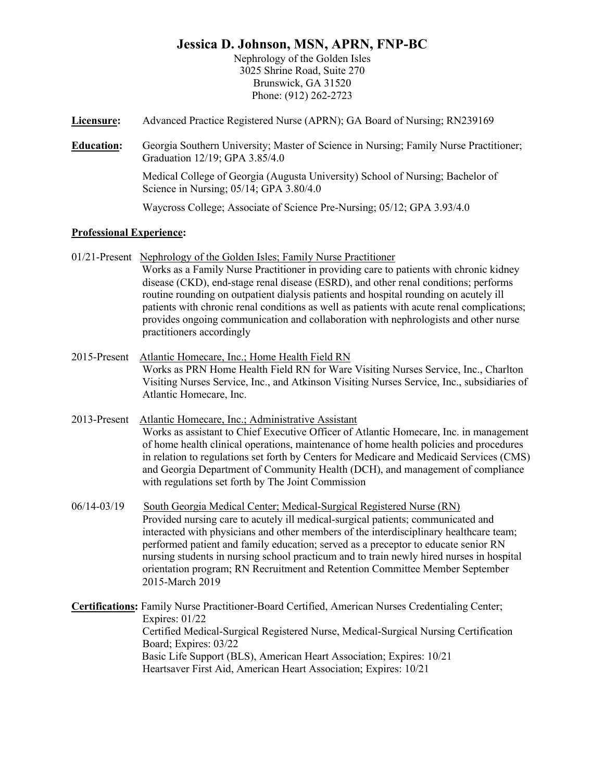## **Jessica D. Johnson, MSN, APRN, FNP-BC**

Nephrology of the Golden Isles 3025 Shrine Road, Suite 270 Brunswick, GA 31520 Phone: (912) 262-2723

- **Licensure:** Advanced Practice Registered Nurse (APRN); GA Board of Nursing; RN239169
- **Education:** Georgia Southern University; Master of Science in Nursing; Family Nurse Practitioner; Graduation 12/19; GPA 3.85/4.0

Medical College of Georgia (Augusta University) School of Nursing; Bachelor of Science in Nursing; 05/14; GPA 3.80/4.0

Waycross College; Associate of Science Pre-Nursing; 05/12; GPA 3.93/4.0

## **Professional Experience:**

- 01/21-Present Nephrology of the Golden Isles; Family Nurse Practitioner Works as a Family Nurse Practitioner in providing care to patients with chronic kidney disease (CKD), end-stage renal disease (ESRD), and other renal conditions; performs routine rounding on outpatient dialysis patients and hospital rounding on acutely ill patients with chronic renal conditions as well as patients with acute renal complications; provides ongoing communication and collaboration with nephrologists and other nurse practitioners accordingly
- 2015-Present Atlantic Homecare, Inc.; Home Health Field RN Works as PRN Home Health Field RN for Ware Visiting Nurses Service, Inc., Charlton Visiting Nurses Service, Inc., and Atkinson Visiting Nurses Service, Inc., subsidiaries of Atlantic Homecare, Inc.
- 2013-Present Atlantic Homecare, Inc.; Administrative Assistant Works as assistant to Chief Executive Officer of Atlantic Homecare, Inc. in management of home health clinical operations, maintenance of home health policies and procedures in relation to regulations set forth by Centers for Medicare and Medicaid Services (CMS) and Georgia Department of Community Health (DCH), and management of compliance with regulations set forth by The Joint Commission
- 06/14-03/19 South Georgia Medical Center; Medical-Surgical Registered Nurse (RN) Provided nursing care to acutely ill medical-surgical patients; communicated and interacted with physicians and other members of the interdisciplinary healthcare team; performed patient and family education; served as a preceptor to educate senior RN nursing students in nursing school practicum and to train newly hired nurses in hospital orientation program; RN Recruitment and Retention Committee Member September 2015-March 2019
- **Certifications:** Family Nurse Practitioner-Board Certified, American Nurses Credentialing Center; Expires: 01/22 Certified Medical-Surgical Registered Nurse, Medical-Surgical Nursing Certification Board; Expires: 03/22 Basic Life Support (BLS), American Heart Association; Expires: 10/21 Heartsaver First Aid, American Heart Association; Expires: 10/21